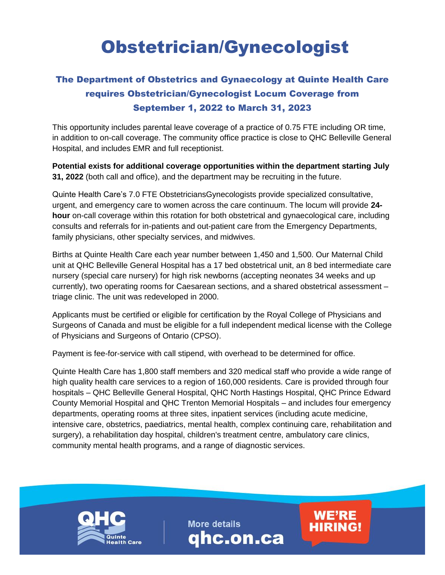## Obstetrician/Gynecologist

## The Department of Obstetrics and Gynaecology at Quinte Health Care requires Obstetrician/Gynecologist Locum Coverage from September 1, 2022 to March 31, 2023

This opportunity includes parental leave coverage of a practice of 0.75 FTE including OR time, in addition to on-call coverage. The community office practice is close to QHC Belleville General Hospital, and includes EMR and full receptionist.

**Potential exists for additional coverage opportunities within the department starting July 31, 2022** (both call and office), and the department may be recruiting in the future.

Quinte Health Care's 7.0 FTE ObstetriciansGynecologists provide specialized consultative, urgent, and emergency care to women across the care continuum. The locum will provide **24 hour** on-call coverage within this rotation for both obstetrical and gynaecological care, including consults and referrals for in-patients and out-patient care from the Emergency Departments, family physicians, other specialty services, and midwives.

Births at Quinte Health Care each year number between 1,450 and 1,500. Our Maternal Child unit at QHC Belleville General Hospital has a 17 bed obstetrical unit, an 8 bed intermediate care nursery (special care nursery) for high risk newborns (accepting neonates 34 weeks and up currently), two operating rooms for Caesarean sections, and a shared obstetrical assessment – triage clinic. The unit was redeveloped in 2000.

Applicants must be certified or eligible for certification by the Royal College of Physicians and Surgeons of Canada and must be eligible for a full independent medical license with the College of Physicians and Surgeons of Ontario (CPSO).

Payment is fee-for-service with call stipend, with overhead to be determined for office.

Quinte Health Care has 1,800 staff members and 320 medical staff who provide a wide range of high quality health care services to a region of 160,000 residents. Care is provided through four hospitals – QHC Belleville General Hospital, QHC North Hastings Hospital, QHC Prince Edward County Memorial Hospital and QHC Trenton Memorial Hospitals – and includes four emergency departments, operating rooms at three sites, inpatient services (including acute medicine, intensive care, obstetrics, paediatrics, mental health, complex continuing care, rehabilitation and surgery), a rehabilitation day hospital, children's treatment centre, ambulatory care clinics, community mental health programs, and a range of diagnostic services.



**More details** qhc.on.ca **WE'RE** 

**HIRING!**